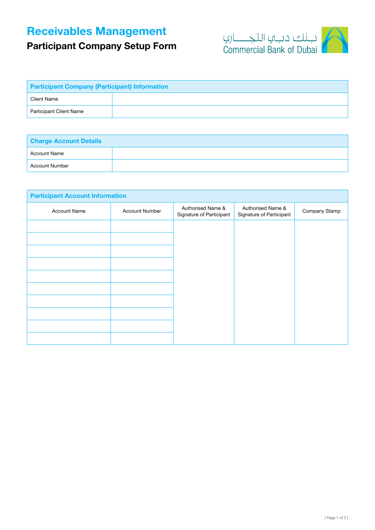## Receivables Management

## Participant Company Setup Form



| <b>Participant Company (Participant) Information</b> |  |  |  |
|------------------------------------------------------|--|--|--|
| Client Name                                          |  |  |  |
| Participant Client Name                              |  |  |  |

| <b>Charge Account Details</b> |  |  |  |
|-------------------------------|--|--|--|
| Account Name                  |  |  |  |
| <b>Account Number</b>         |  |  |  |

| <b>Participant Account Information</b> |                       |                                               |                                               |               |  |  |  |
|----------------------------------------|-----------------------|-----------------------------------------------|-----------------------------------------------|---------------|--|--|--|
| <b>Account Name</b>                    | <b>Account Number</b> | Authorised Name &<br>Signature of Participant | Authorised Name &<br>Signature of Participant | Company Stamp |  |  |  |
|                                        |                       |                                               |                                               |               |  |  |  |
|                                        |                       |                                               |                                               |               |  |  |  |
|                                        |                       |                                               |                                               |               |  |  |  |
|                                        |                       |                                               |                                               |               |  |  |  |
|                                        |                       |                                               |                                               |               |  |  |  |
|                                        |                       |                                               |                                               |               |  |  |  |
|                                        |                       |                                               |                                               |               |  |  |  |
|                                        |                       |                                               |                                               |               |  |  |  |
|                                        |                       |                                               |                                               |               |  |  |  |
|                                        |                       |                                               |                                               |               |  |  |  |